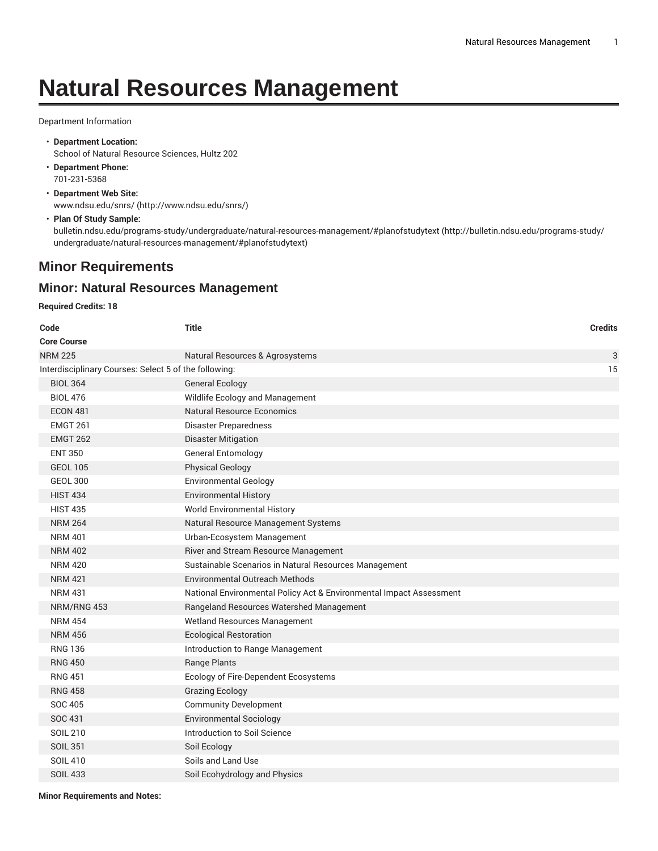# **Natural Resources Management**

#### Department Information

- **Department Location:** School of Natural Resource Sciences, Hultz 202
- **Department Phone:** 701-231-5368
- **Department Web Site:** [www.ndsu.edu/snrs/](http://www.ndsu.edu/snrs/) ([http://www.ndsu.edu/snrs/\)](http://www.ndsu.edu/snrs/)
- **Plan Of Study Sample:** [bulletin.ndsu.edu/programs-study/undergraduate/natural-resources-management/#planofstudytext](http://bulletin.ndsu.edu/programs-study/undergraduate/natural-resources-management/#planofstudytext) ([http://bulletin.ndsu.edu/programs-study/](http://bulletin.ndsu.edu/programs-study/undergraduate/natural-resources-management/#planofstudytext) [undergraduate/natural-resources-management/#planofstudytext\)](http://bulletin.ndsu.edu/programs-study/undergraduate/natural-resources-management/#planofstudytext)

## **Minor Requirements**

## **Minor: Natural Resources Management**

#### **Required Credits: 18**

| Code                                                  | <b>Title</b>                                                        | <b>Credits</b> |
|-------------------------------------------------------|---------------------------------------------------------------------|----------------|
| <b>Core Course</b>                                    |                                                                     |                |
| <b>NRM 225</b>                                        | Natural Resources & Agrosystems                                     | 3              |
| Interdisciplinary Courses: Select 5 of the following: |                                                                     | 15             |
| <b>BIOL 364</b>                                       | <b>General Ecology</b>                                              |                |
| <b>BIOL 476</b>                                       | Wildlife Ecology and Management                                     |                |
| <b>ECON 481</b>                                       | <b>Natural Resource Economics</b>                                   |                |
| <b>EMGT 261</b>                                       | Disaster Preparedness                                               |                |
| <b>EMGT 262</b>                                       | <b>Disaster Mitigation</b>                                          |                |
| <b>ENT 350</b>                                        | <b>General Entomology</b>                                           |                |
| <b>GEOL 105</b>                                       | <b>Physical Geology</b>                                             |                |
| <b>GEOL 300</b>                                       | <b>Environmental Geology</b>                                        |                |
| <b>HIST 434</b>                                       | <b>Environmental History</b>                                        |                |
| <b>HIST 435</b>                                       | World Environmental History                                         |                |
| <b>NRM 264</b>                                        | Natural Resource Management Systems                                 |                |
| <b>NRM 401</b>                                        | Urban-Ecosystem Management                                          |                |
| <b>NRM 402</b>                                        | River and Stream Resource Management                                |                |
| <b>NRM 420</b>                                        | Sustainable Scenarios in Natural Resources Management               |                |
| <b>NRM 421</b>                                        | Environmental Outreach Methods                                      |                |
| <b>NRM 431</b>                                        | National Environmental Policy Act & Environmental Impact Assessment |                |
| NRM/RNG 453                                           | Rangeland Resources Watershed Management                            |                |
| <b>NRM 454</b>                                        | Wetland Resources Management                                        |                |
| <b>NRM 456</b>                                        | <b>Ecological Restoration</b>                                       |                |
| <b>RNG 136</b>                                        | Introduction to Range Management                                    |                |
| <b>RNG 450</b>                                        | <b>Range Plants</b>                                                 |                |
| <b>RNG 451</b>                                        | Ecology of Fire-Dependent Ecosystems                                |                |
| <b>RNG 458</b>                                        | <b>Grazing Ecology</b>                                              |                |
| <b>SOC 405</b>                                        | <b>Community Development</b>                                        |                |
| SOC 431                                               | <b>Environmental Sociology</b>                                      |                |
| SOIL 210                                              | Introduction to Soil Science                                        |                |
| <b>SOIL 351</b>                                       | Soil Ecology                                                        |                |
| <b>SOIL 410</b>                                       | Soils and Land Use                                                  |                |
| <b>SOIL 433</b>                                       | Soil Ecohydrology and Physics                                       |                |
|                                                       |                                                                     |                |

**Minor Requirements and Notes:**